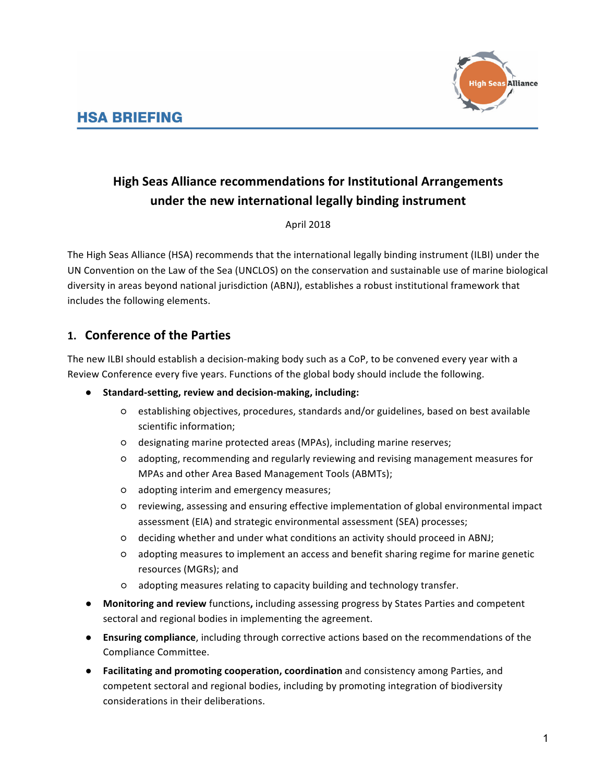

# **High Seas Alliance recommendations for Institutional Arrangements** under the new international legally binding instrument

#### April 2018

The High Seas Alliance (HSA) recommends that the international legally binding instrument (ILBI) under the UN Convention on the Law of the Sea (UNCLOS) on the conservation and sustainable use of marine biological diversity in areas beyond national jurisdiction (ABNJ), establishes a robust institutional framework that includes the following elements.

# **1. Conference of the Parties**

The new ILBI should establish a decision-making body such as a CoP, to be convened every year with a Review Conference every five years. Functions of the global body should include the following.

- Standard-setting, review and decision-making, including:
	- $\circ$  establishing objectives, procedures, standards and/or guidelines, based on best available scientific information;
	- $\circ$  designating marine protected areas (MPAs), including marine reserves;
	- adopting, recommending and regularly reviewing and revising management measures for MPAs and other Area Based Management Tools (ABMTs);
	- adopting interim and emergency measures;
	- $\circ$  reviewing, assessing and ensuring effective implementation of global environmental impact assessment (EIA) and strategic environmental assessment (SEA) processes;
	- $\circ$  deciding whether and under what conditions an activity should proceed in ABNJ;
	- $\circ$  adopting measures to implement an access and benefit sharing regime for marine genetic resources (MGRs); and
	- $o$  adopting measures relating to capacity building and technology transfer.
- **Monitoring and review** functions, including assessing progress by States Parties and competent sectoral and regional bodies in implementing the agreement.
- **Ensuring compliance**, including through corrective actions based on the recommendations of the Compliance Committee.
- **•** Facilitating and promoting cooperation, coordination and consistency among Parties, and competent sectoral and regional bodies, including by promoting integration of biodiversity considerations in their deliberations.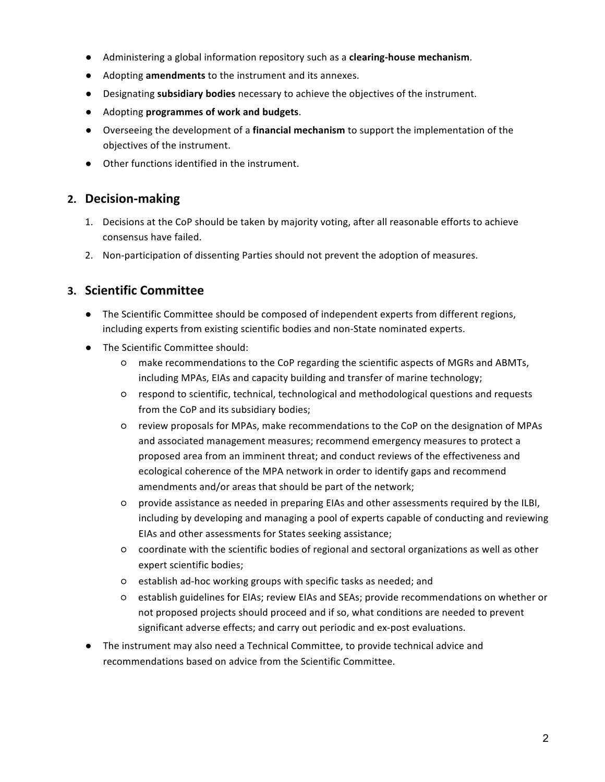- Administering a global information repository such as a **clearing-house mechanism**.
- Adopting **amendments** to the instrument and its annexes.
- **•** Designating **subsidiary bodies** necessary to achieve the objectives of the instrument.
- Adopting **programmes of work and budgets**.
- Overseeing the development of a **financial mechanism** to support the implementation of the objectives of the instrument.
- Other functions identified in the instrument.

#### **2. Decision-making**

- 1. Decisions at the CoP should be taken by majority voting, after all reasonable efforts to achieve consensus have failed.
- 2. Non-participation of dissenting Parties should not prevent the adoption of measures.

#### **3. Scientific Committee**

- The Scientific Committee should be composed of independent experts from different regions, including experts from existing scientific bodies and non-State nominated experts.
- The Scientific Committee should:
	- $\circ$  make recommendations to the CoP regarding the scientific aspects of MGRs and ABMTs, including MPAs, EIAs and capacity building and transfer of marine technology;
	- $\circ$  respond to scientific, technical, technological and methodological questions and requests from the CoP and its subsidiary bodies;
	- $\circ$  review proposals for MPAs, make recommendations to the CoP on the designation of MPAs and associated management measures; recommend emergency measures to protect a proposed area from an imminent threat; and conduct reviews of the effectiveness and ecological coherence of the MPA network in order to identify gaps and recommend amendments and/or areas that should be part of the network;
	- $\circ$  provide assistance as needed in preparing EIAs and other assessments required by the ILBI, including by developing and managing a pool of experts capable of conducting and reviewing EIAs and other assessments for States seeking assistance;
	- $\circ$  coordinate with the scientific bodies of regional and sectoral organizations as well as other expert scientific bodies;
	- establish ad-hoc working groups with specific tasks as needed; and
	- $\circ$  establish guidelines for EIAs; review EIAs and SEAs; provide recommendations on whether or not proposed projects should proceed and if so, what conditions are needed to prevent significant adverse effects; and carry out periodic and ex-post evaluations.
- The instrument may also need a Technical Committee, to provide technical advice and recommendations based on advice from the Scientific Committee.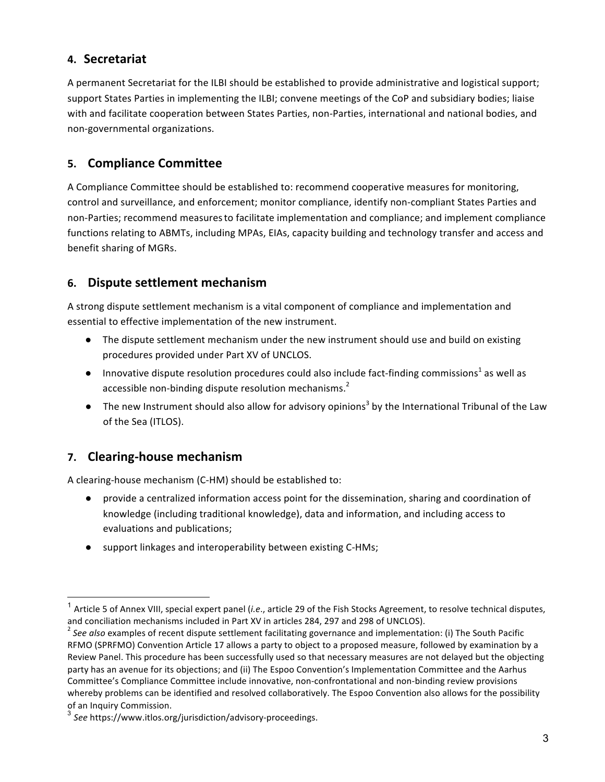### **4. Secretariat**

A permanent Secretariat for the ILBI should be established to provide administrative and logistical support; support States Parties in implementing the ILBI; convene meetings of the CoP and subsidiary bodies; liaise with and facilitate cooperation between States Parties, non-Parties, international and national bodies, and non-governmental organizations.

# **5. Compliance Committee**

A Compliance Committee should be established to: recommend cooperative measures for monitoring, control and surveillance, and enforcement; monitor compliance, identify non-compliant States Parties and non-Parties; recommend measures to facilitate implementation and compliance; and implement compliance functions relating to ABMTs, including MPAs, EIAs, capacity building and technology transfer and access and benefit sharing of MGRs.

## **6. Dispute settlement mechanism**

A strong dispute settlement mechanism is a vital component of compliance and implementation and essential to effective implementation of the new instrument.

- The dispute settlement mechanism under the new instrument should use and build on existing procedures provided under Part XV of UNCLOS.
- $\bullet$  Innovative dispute resolution procedures could also include fact-finding commissions<sup>1</sup> as well as accessible non-binding dispute resolution mechanisms.<sup>2</sup>
- The new Instrument should also allow for advisory opinions<sup>3</sup> by the International Tribunal of the Law of the Sea (ITLOS).

# **7.** Clearing-house mechanism

A clearing-house mechanism (C-HM) should be established to:

- provide a centralized information access point for the dissemination, sharing and coordination of knowledge (including traditional knowledge), data and information, and including access to evaluations and publications;
- support linkages and interoperability between existing C-HMs;

<sup>&</sup>lt;sup>1</sup> Article 5 of Annex VIII, special expert panel (*i.e.*, article 29 of the Fish Stocks Agreement, to resolve technical disputes, and conciliation mechanisms included in Part XV in articles 284, 297 and 298 of UNCLOS).<br><sup>2</sup> See also examples of recent dispute settlement facilitating governance and implementation: (i) The South Pacific

RFMO (SPRFMO) Convention Article 17 allows a party to object to a proposed measure, followed by examination by a Review Panel. This procedure has been successfully used so that necessary measures are not delayed but the objecting party has an avenue for its objections; and (ii) The Espoo Convention's Implementation Committee and the Aarhus Committee's Compliance Committee include innovative, non-confrontational and non-binding review provisions whereby problems can be identified and resolved collaboratively. The Espoo Convention also allows for the possibility of an Inquiry Commission.

<sup>3</sup> *See* https://www.itlos.org/jurisdiction/advisory-proceedings.